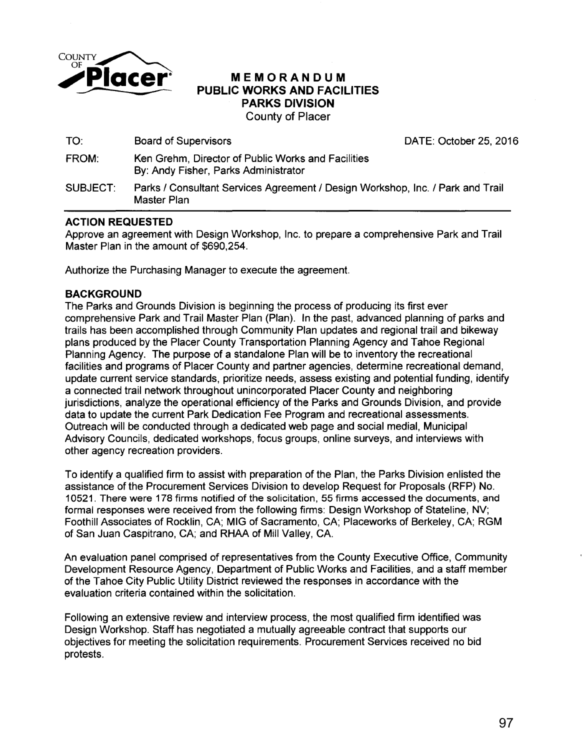

## **Placer** MEMORANDUM<br>PUBLIC WORKS AND FACIL<br>PARKS DIVISION **PUBLIC WORKS AND FACILITIES PARKS DIVISION**  County of Placer

| TO:      | <b>Board of Supervisors</b>                                                                   | DATE: October 25, 2016 |
|----------|-----------------------------------------------------------------------------------------------|------------------------|
| FROM:    | Ken Grehm, Director of Public Works and Facilities<br>By: Andy Fisher, Parks Administrator    |                        |
| SUBJECT: | Parks / Consultant Services Agreement / Design Workshop, Inc. / Park and Trail<br>Master Plan |                        |

### **ACTION REQUESTED**

Approve an agreement with Design Workshop, Inc. to prepare a comprehensive Park and Trail Master Plan in the amount of \$690,254.

Authorize the Purchasing Manager to execute the agreement.

# **BACKGROUND**

The Parks and Grounds Division is beginning the process of producing its first ever comprehensive Park and Trail Master Plan (Plan). In the past, advanced planning of parks and trails has been accomplished through Community Plan updates and regional trail and bikeway plans produced by the Placer County Transportation Planning Agency and Tahoe Regional Planning Agency. The purpose of a standalone Plan will be to inventory the recreational facilities and programs of Placer County and partner agencies, determine recreational demand, update current service standards, prioritize needs, assess existing and potential funding, identify a connected trail network throughout unincorporated Placer County and neighboring jurisdictions, analyze the operational efficiency of the Parks and Grounds Division, and provide data to update the current Park Dedication Fee Program and recreational assessments. Outreach will be conducted through a dedicated web page and social medial, Municipal Advisory Councils, dedicated workshops, focus groups, online surveys, and interviews with other agency recreation providers.

To identify a qualified firm to assist with preparation of the Plan, the Parks Division enlisted the assistance of the Procurement Services Division to develop Request for Proposals (RFP) No. 10521. There were 178 firms notified of the solicitation, 55 firms accessed the documents, and formal responses were received from the following firms: Design Workshop of Stateline, NV; Foothill Associates of Rocklin, CA; MIG of Sacramento, CA; Placeworks of Berkeley, CA; RGM of San Juan Caspitrano, CA; and RHAA of Mill Valley, CA.

An evaluation panel comprised of representatives from the County Executive Office, Community Development Resource Agency, Department of Public Works and Facilities, and a staff member of the Tahoe City Public Utility District reviewed the responses in accordance with the evaluation criteria contained within the solicitation.

Following an extensive review and interview process, the most qualified firm identified was Design Workshop. Staff has negotiated a mutually agreeable contract that supports our objectives for meeting the solicitation requirements. Procurement Services received no bid protests.